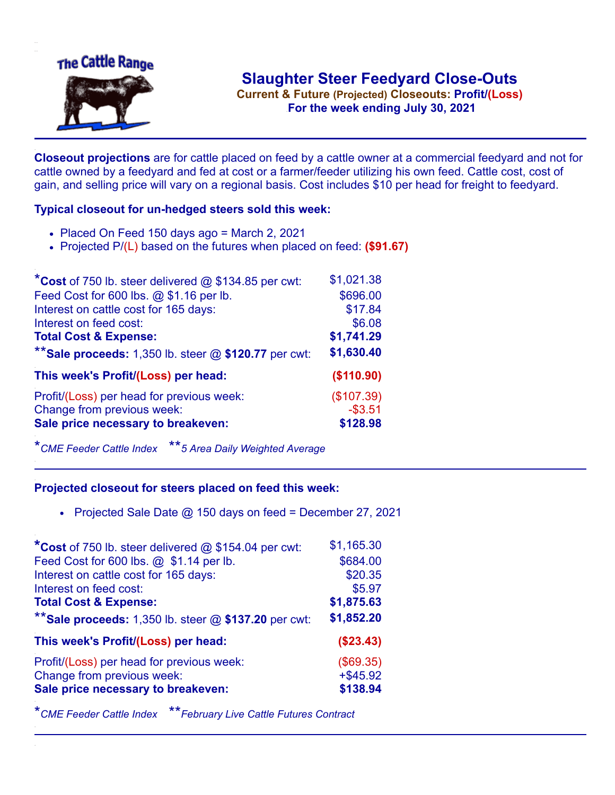

**Current & Future (Projected) Closeouts: Profit/(Loss)** .**For the week ending July 30, 2021**

**Closeout projections** are for cattle placed on feed by a cattle owner at a commercial feedyard and not for cattle owned by a feedyard and fed at cost or a farmer/feeder utilizing his own feed. Cattle cost, cost of gain, and selling price will vary on a regional basis. Cost includes \$10 per head for freight to feedyard.

## **Typical closeout for un-hedged steers sold this week:**

- Placed On Feed 150 days ago = March 2, 2021
- Projected P/(L) based on the futures when placed on feed: **(\$91.67)**

| *Cost of 750 lb. steer delivered $@$ \$134.85 per cwt:  | \$1,021.38 |
|---------------------------------------------------------|------------|
| Feed Cost for 600 lbs. @ \$1.16 per lb.                 | \$696.00   |
| Interest on cattle cost for 165 days:                   | \$17.84    |
| Interest on feed cost:                                  | \$6.08     |
| <b>Total Cost &amp; Expense:</b>                        | \$1,741.29 |
| ** Sale proceeds: 1,350 lb. steer $@$ \$120.77 per cwt: | \$1,630.40 |
| This week's Profit/(Loss) per head:                     | (\$110.90) |
| Profit/(Loss) per head for previous week:               | (\$107.39) |
| Change from previous week:                              | $-$3.51$   |
| Sale price necessary to breakeven:                      | \$128.98   |

\**CME Feeder Cattle Index* \*\**5 Area Daily Weighted Average*

## **Projected closeout for steers placed on feed this week:**

• Projected Sale Date  $@$  150 days on feed = December 27, 2021

| *Cost of 750 lb. steer delivered @ \$154.04 per cwt:    | \$1,165.30  |
|---------------------------------------------------------|-------------|
| Feed Cost for 600 lbs. @ \$1.14 per lb.                 | \$684.00    |
| Interest on cattle cost for 165 days:                   | \$20.35     |
| Interest on feed cost:                                  | \$5.97      |
| <b>Total Cost &amp; Expense:</b>                        | \$1,875.63  |
| ** Sale proceeds: 1,350 lb. steer $@$ \$137.20 per cwt: | \$1,852.20  |
| This week's Profit/(Loss) per head:                     | (\$23.43)   |
| Profit/(Loss) per head for previous week:               | (\$69.35)   |
| Change from previous week:                              | $+$ \$45.92 |
| Sale price necessary to breakeven:                      | \$138.94    |

\**CME Feeder Cattle Index* \*\**February Live Cattle Futures Contract*